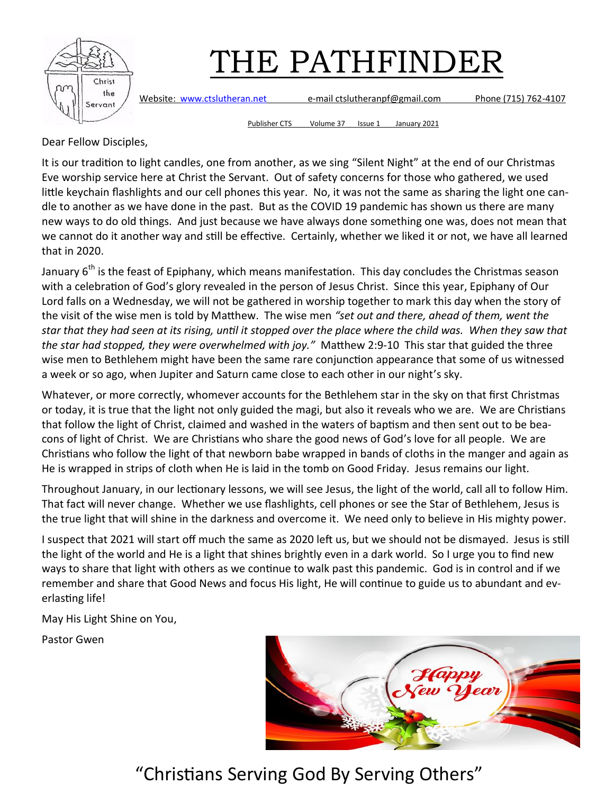

Website: [www.ctslutheran.net](http://www.ctslutheran.net/) e-mail ctslutheranpf@gmail.com Phone (715) 762-4107

Publisher CTS Volume 37 Issue 1 January 2021

Dear Fellow Disciples,

It is our tradition to light candles, one from another, as we sing "Silent Night" at the end of our Christmas Eve worship service here at Christ the Servant. Out of safety concerns for those who gathered, we used little keychain flashlights and our cell phones this year. No, it was not the same as sharing the light one candle to another as we have done in the past. But as the COVID 19 pandemic has shown us there are many new ways to do old things. And just because we have always done something one was, does not mean that we cannot do it another way and still be effective. Certainly, whether we liked it or not, we have all learned that in 2020.

January  $6<sup>th</sup>$  is the feast of Epiphany, which means manifestation. This day concludes the Christmas season with a celebration of God's glory revealed in the person of Jesus Christ. Since this year, Epiphany of Our Lord falls on a Wednesday, we will not be gathered in worship together to mark this day when the story of the visit of the wise men is told by Matthew. The wise men *"set out and there, ahead of them, went the star that they had seen at its rising, until it stopped over the place where the child was. When they saw that the star had stopped, they were overwhelmed with joy."* Matthew 2:9-10 This star that guided the three wise men to Bethlehem might have been the same rare conjunction appearance that some of us witnessed a week or so ago, when Jupiter and Saturn came close to each other in our night's sky.

Whatever, or more correctly, whomever accounts for the Bethlehem star in the sky on that first Christmas or today, it is true that the light not only guided the magi, but also it reveals who we are. We are Christians that follow the light of Christ, claimed and washed in the waters of baptism and then sent out to be beacons of light of Christ. We are Christians who share the good news of God's love for all people. We are Christians who follow the light of that newborn babe wrapped in bands of cloths in the manger and again as He is wrapped in strips of cloth when He is laid in the tomb on Good Friday. Jesus remains our light.

Throughout January, in our lectionary lessons, we will see Jesus, the light of the world, call all to follow Him. That fact will never change. Whether we use flashlights, cell phones or see the Star of Bethlehem, Jesus is the true light that will shine in the darkness and overcome it. We need only to believe in His mighty power.

I suspect that 2021 will start off much the same as 2020 left us, but we should not be dismayed. Jesus is still the light of the world and He is a light that shines brightly even in a dark world. So I urge you to find new ways to share that light with others as we continue to walk past this pandemic. God is in control and if we remember and share that Good News and focus His light, He will continue to guide us to abundant and everlasting life!

May His Light Shine on You,

Pastor Gwen

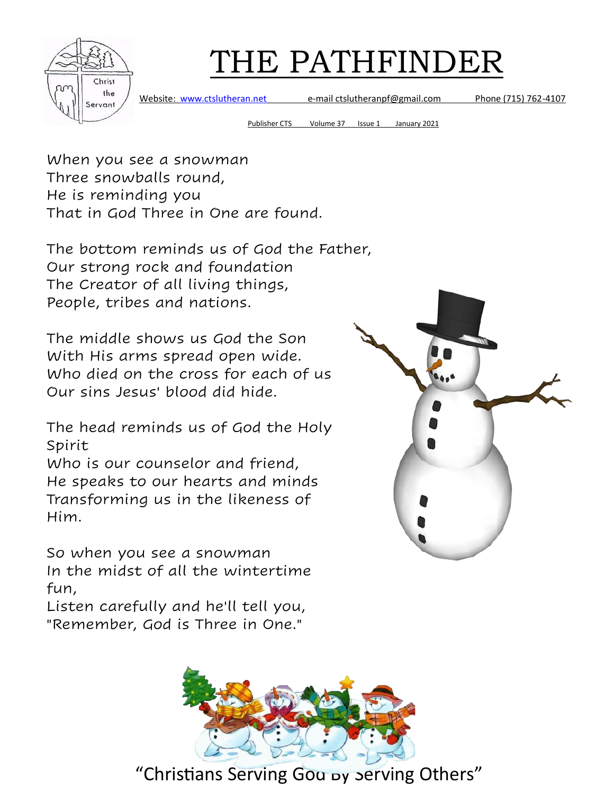

Website: [www.ctslutheran.net](http://www.ctslutheran.net/) e-mail ctslutheranpf@gmail.com Phone (715) 762-4107

Publisher CTS Volume 37 Issue 1 January 2021

When you see a snowman Three snowballs round, He is reminding you That in God Three in One are found.

The bottom reminds us of God the Father, Our strong rock and foundation The Creator of all living things, People, tribes and nations.

The middle shows us God the Son With His arms spread open wide. Who died on the cross for each of us Our sins Jesus' blood did hide.

The head reminds us of God the Holy Spirit

Who is our counselor and friend, He speaks to our hearts and minds Transforming us in the likeness of Him.

So when you see a snowman In the midst of all the wintertime fun,

Listen carefully and he'll tell you, "Remember, God is Three in One."



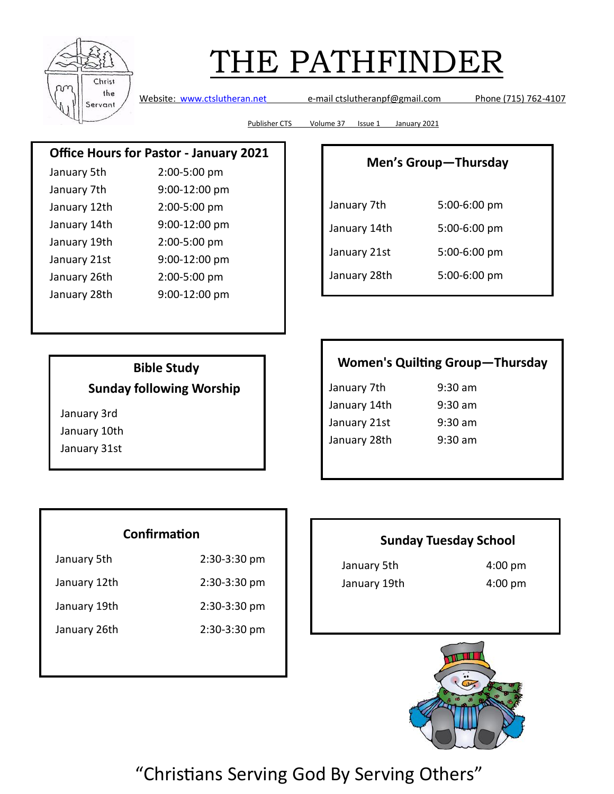

Website: [www.ctslutheran.net](http://www.ctslutheran.net/) e-mail ctslutheranpf@gmail.com Phone (715) 762-4107

Publisher CTS Volume 37 Issue 1 January 2021

### **Office Hours for Pastor - January 2021**

| January 5th  | 2:00-5:00 pm  |
|--------------|---------------|
| January 7th  | 9:00-12:00 pm |
| January 12th | 2:00-5:00 pm  |
| January 14th | 9:00-12:00 pm |
| January 19th | 2:00-5:00 pm  |
| January 21st | 9:00-12:00 pm |
| January 26th | 2:00-5:00 pm  |
| January 28th | 9:00-12:00 pm |
|              |               |

#### **Men's Group—Thursday**

| January 7th  | 5:00-6:00 pm |
|--------------|--------------|
| January 14th | 5:00-6:00 pm |
| January 21st | 5:00-6:00 pm |
| January 28th | 5:00-6:00 pm |

### **Bible Study Sunday following Worship**

January 3rd

January 10th January 31st

### **Women's Quilting Group—Thursday**

| January 7th  | $9:30 \text{ am}$ |
|--------------|-------------------|
| January 14th | $9:30$ am         |
| January 21st | $9:30$ am         |
| January 28th | $9:30$ am         |

#### **Confirmation**

| January 5th  | $2:30-3:30$ pm |
|--------------|----------------|
| January 12th | $2:30-3:30$ pm |

January 19th 2:30-3:30 pm

January 26th 2:30-3:30 pm

#### **Sunday Tuesday School**

January 5th 4:00 pm January 19th 4:00 pm

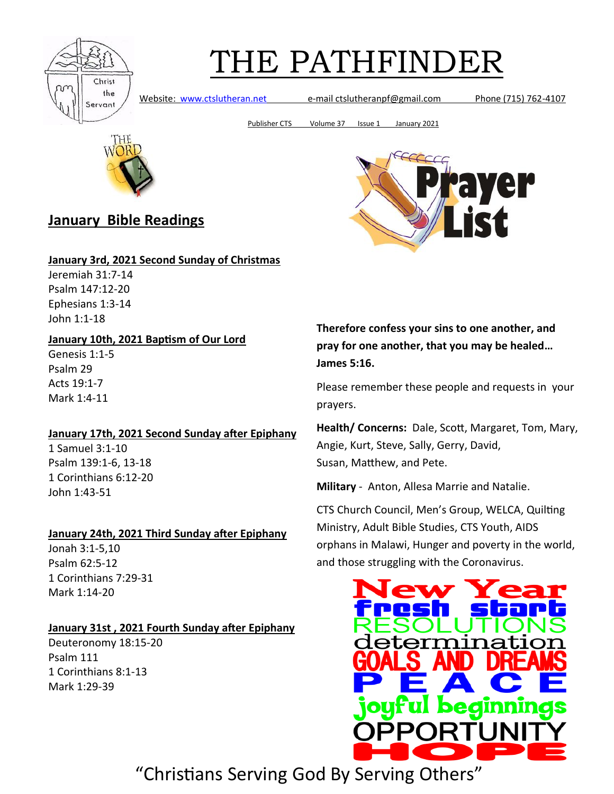

Website: [www.ctslutheran.net](http://www.ctslutheran.net/) e-mail ctslutheranpf@gmail.com Phone (715) 762-4107

Publisher CTS Volume 37 Issue 1 January 2021



### **January Bible Readings**

#### **January 3rd, 2021 Second Sunday of Christmas**

Jeremiah 31:7-14 Psalm 147:12-20 Ephesians 1:3-14 John 1:1-18

#### **January 10th, 2021 Baptism of Our Lord**

Genesis 1:1-5 Psalm 29 Acts 19:1-7 Mark 1:4-11

#### **January 17th, 2021 Second Sunday after Epiphany**

1 Samuel 3:1-10 Psalm 139:1-6, 13-18 1 Corinthians 6:12-20 John 1:43-51

#### **January 24th, 2021 Third Sunday after Epiphany**

Jonah 3:1-5,10 Psalm 62:5-12 1 Corinthians 7:29-31 Mark 1:14-20

#### **January 31st , 2021 Fourth Sunday after Epiphany**

Deuteronomy 18:15-20 Psalm 111 1 Corinthians 8:1-13 Mark 1:29-39



**Therefore confess your sins to one another, and pray for one another, that you may be healed… James 5:16.**

Please remember these people and requests in your prayers.

**Health/ Concerns:** Dale, Scott, Margaret, Tom, Mary, Angie, Kurt, Steve, Sally, Gerry, David, Susan, Matthew, and Pete.

**Military** - Anton, Allesa Marrie and Natalie.

CTS Church Council, Men's Group, WELCA, Quilting Ministry, Adult Bible Studies, CTS Youth, AIDS orphans in Malawi, Hunger and poverty in the world, and those struggling with the Coronavirus.

![](_page_3_Picture_24.jpeg)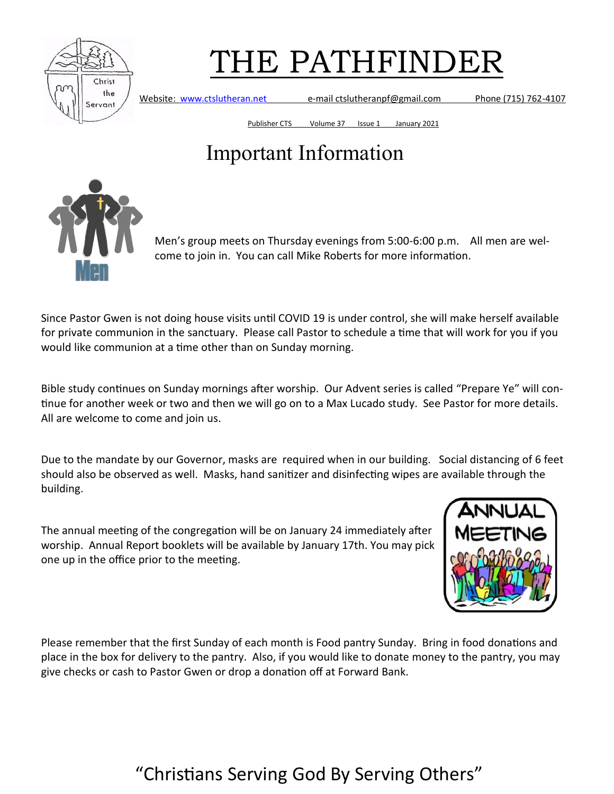![](_page_4_Picture_0.jpeg)

Website: [www.ctslutheran.net](http://www.ctslutheran.net/) e-mail ctslutheranpf@gmail.com Phone (715) 762-4107

Publisher CTS Volume 37 Issue 1 January 2021

## Important Information

![](_page_4_Picture_6.jpeg)

Men's group meets on Thursday evenings from 5:00-6:00 p.m. All men are welcome to join in. You can call Mike Roberts for more information.

Since Pastor Gwen is not doing house visits until COVID 19 is under control, she will make herself available for private communion in the sanctuary. Please call Pastor to schedule a time that will work for you if you would like communion at a time other than on Sunday morning.

Bible study continues on Sunday mornings after worship. Our Advent series is called "Prepare Ye" will continue for another week or two and then we will go on to a Max Lucado study. See Pastor for more details. All are welcome to come and join us.

Due to the mandate by our Governor, masks are required when in our building. Social distancing of 6 feet should also be observed as well. Masks, hand sanitizer and disinfecting wipes are available through the building.

The annual meeting of the congregation will be on January 24 immediately after worship. Annual Report booklets will be available by January 17th. You may pick one up in the office prior to the meeting.

![](_page_4_Picture_12.jpeg)

Please remember that the first Sunday of each month is Food pantry Sunday. Bring in food donations and place in the box for delivery to the pantry. Also, if you would like to donate money to the pantry, you may give checks or cash to Pastor Gwen or drop a donation off at Forward Bank.